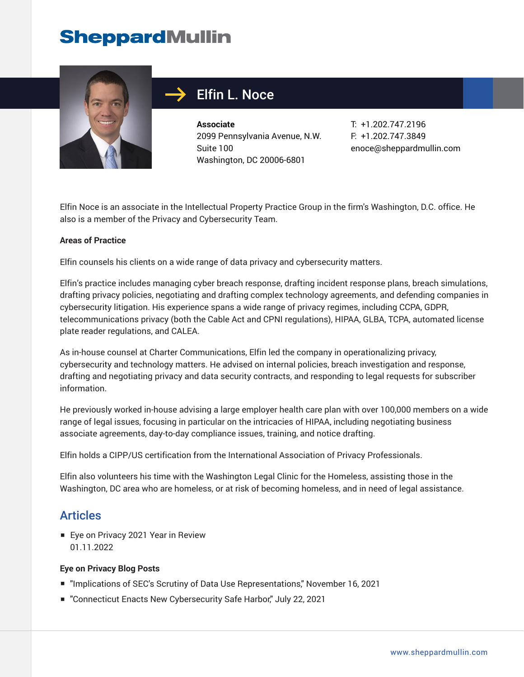# **SheppardMullin**



## Elfin L. Noce

**Associate** 2099 Pennsylvania Avenue, N.W. Suite 100 Washington, DC 20006-6801

T: +1.202.747.2196 F: +1.202.747.3849 enoce@sheppardmullin.com

Elfin Noce is an associate in the Intellectual Property Practice Group in the firm's Washington, D.C. office. He also is a member of the Privacy and Cybersecurity Team.

#### **Areas of Practice**

Elfin counsels his clients on a wide range of data privacy and cybersecurity matters.

Elfin's practice includes managing cyber breach response, drafting incident response plans, breach simulations, drafting privacy policies, negotiating and drafting complex technology agreements, and defending companies in cybersecurity litigation. His experience spans a wide range of privacy regimes, including CCPA, GDPR, telecommunications privacy (both the Cable Act and CPNI regulations), HIPAA, GLBA, TCPA, automated license plate reader regulations, and CALEA.

As in-house counsel at Charter Communications, Elfin led the company in operationalizing privacy, cybersecurity and technology matters. He advised on internal policies, breach investigation and response, drafting and negotiating privacy and data security contracts, and responding to legal requests for subscriber information.

He previously worked in-house advising a large employer health care plan with over 100,000 members on a wide range of legal issues, focusing in particular on the intricacies of HIPAA, including negotiating business associate agreements, day-to-day compliance issues, training, and notice drafting.

Elfin holds a CIPP/US certification from the International Association of Privacy Professionals.

Elfin also volunteers his time with the Washington Legal Clinic for the Homeless, assisting those in the Washington, DC area who are homeless, or at risk of becoming homeless, and in need of legal assistance.

### **Articles**

■ Eye on Privacy 2021 Year in Review 01.11.2022

### **Eye on Privacy Blog Posts**

- "Implications of SEC's Scrutiny of Data Use Representations," November 16, 2021
- "Connecticut Enacts New Cybersecurity Safe Harbor," July 22, 2021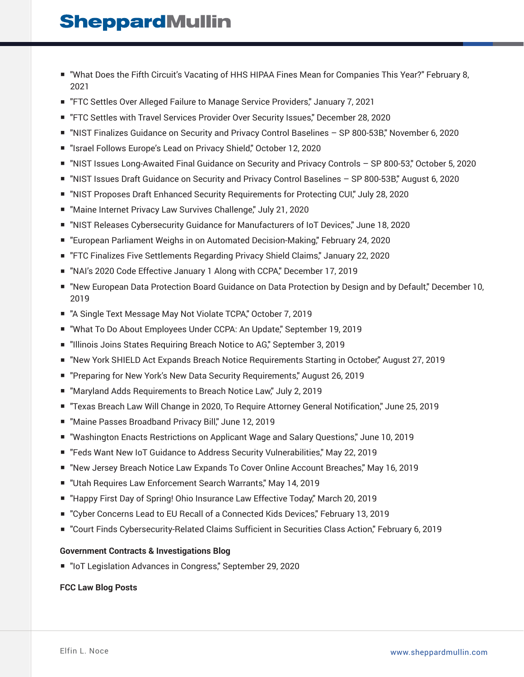## **SheppardMullin**

- "What Does the Fifth Circuit's Vacating of HHS HIPAA Fines Mean for Companies This Year?" February 8, 2021
- "FTC Settles Over Alleged Failure to Manage Service Providers," January 7, 2021
- "FTC Settles with Travel Services Provider Over Security Issues," December 28, 2020
- "NIST Finalizes Guidance on Security and Privacy Control Baselines SP 800-53B," November 6, 2020
- "Israel Follows Europe's Lead on Privacy Shield," October 12, 2020
- "NIST Issues Long-Awaited Final Guidance on Security and Privacy Controls SP 800-53," October 5, 2020
- "NIST Issues Draft Guidance on Security and Privacy Control Baselines SP 800-53B," August 6, 2020
- "NIST Proposes Draft Enhanced Security Requirements for Protecting CUI," July 28, 2020
- "Maine Internet Privacy Law Survives Challenge," July 21, 2020
- "NIST Releases Cybersecurity Guidance for Manufacturers of IoT Devices," June 18, 2020
- "European Parliament Weighs in on Automated Decision-Making," February 24, 2020
- "FTC Finalizes Five Settlements Regarding Privacy Shield Claims," January 22, 2020
- "NAI's 2020 Code Effective January 1 Along with CCPA," December 17, 2019
- "New European Data Protection Board Guidance on Data Protection by Design and by Default," December 10, 2019
- "A Single Text Message May Not Violate TCPA," October 7, 2019
- "What To Do About Employees Under CCPA: An Update," September 19, 2019
- "Illinois Joins States Requiring Breach Notice to AG," September 3, 2019
- "New York SHIELD Act Expands Breach Notice Requirements Starting in October," August 27, 2019
- "Preparing for New York's New Data Security Requirements," August 26, 2019
- "Maryland Adds Requirements to Breach Notice Law," July 2, 2019
- "Texas Breach Law Will Change in 2020, To Require Attorney General Notification," June 25, 2019
- "Maine Passes Broadband Privacy Bill," June 12, 2019
- "Washington Enacts Restrictions on Applicant Wage and Salary Questions," June 10, 2019
- "Feds Want New IoT Guidance to Address Security Vulnerabilities," May 22, 2019
- "New Jersey Breach Notice Law Expands To Cover Online Account Breaches," May 16, 2019
- "Utah Requires Law Enforcement Search Warrants," May 14, 2019
- "Happy First Day of Spring! Ohio Insurance Law Effective Today," March 20, 2019
- "Cyber Concerns Lead to EU Recall of a Connected Kids Devices," February 13, 2019
- "Court Finds Cybersecurity-Related Claims Sufficient in Securities Class Action," February 6, 2019

### **Government Contracts & Investigations Blog**

■ "IoT Legislation Advances in Congress," September 29, 2020

### **FCC Law Blog Posts**